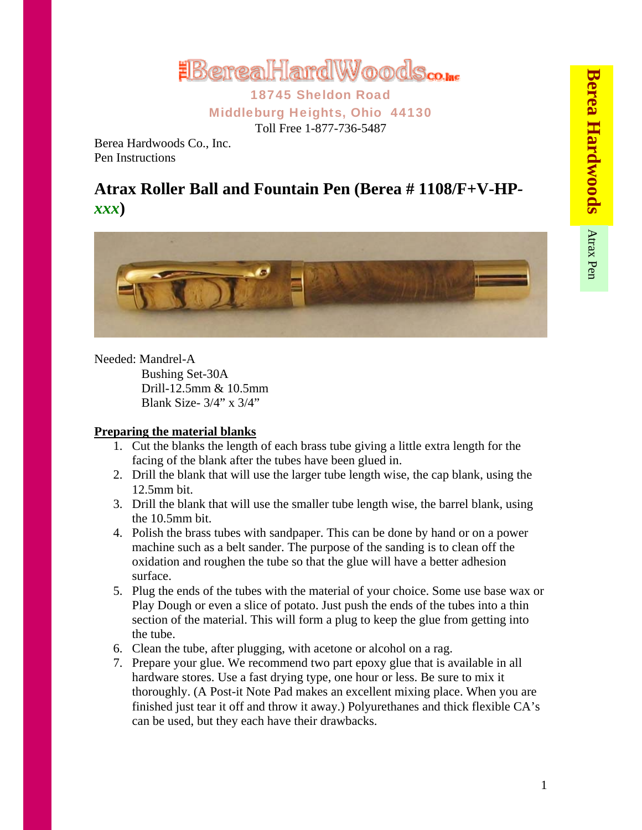

18745 Sheldon Road Middleburg Heights, Ohio 44130 Toll Free 1-877-736-5487

Berea Hardwoods Co., Inc. Pen Instructions

## **Atrax Roller Ball and Fountain Pen (Berea # 1108/F+V-HP***xxx***)**



Needed: Mandrel-A

 Bushing Set-30A Drill-12.5mm & 10.5mm Blank Size- 3/4" x 3/4"

## **Preparing the material blanks**

- 1. Cut the blanks the length of each brass tube giving a little extra length for the facing of the blank after the tubes have been glued in.
- 2. Drill the blank that will use the larger tube length wise, the cap blank, using the 12.5mm bit.
- 3. Drill the blank that will use the smaller tube length wise, the barrel blank, using the 10.5mm bit.
- 4. Polish the brass tubes with sandpaper. This can be done by hand or on a power machine such as a belt sander. The purpose of the sanding is to clean off the oxidation and roughen the tube so that the glue will have a better adhesion surface.
- 5. Plug the ends of the tubes with the material of your choice. Some use base wax or Play Dough or even a slice of potato. Just push the ends of the tubes into a thin section of the material. This will form a plug to keep the glue from getting into the tube.
- 6. Clean the tube, after plugging, with acetone or alcohol on a rag.
- 7. Prepare your glue. We recommend two part epoxy glue that is available in all hardware stores. Use a fast drying type, one hour or less. Be sure to mix it thoroughly. (A Post-it Note Pad makes an excellent mixing place. When you are finished just tear it off and throw it away.) Polyurethanes and thick flexible CA's can be used, but they each have their drawbacks.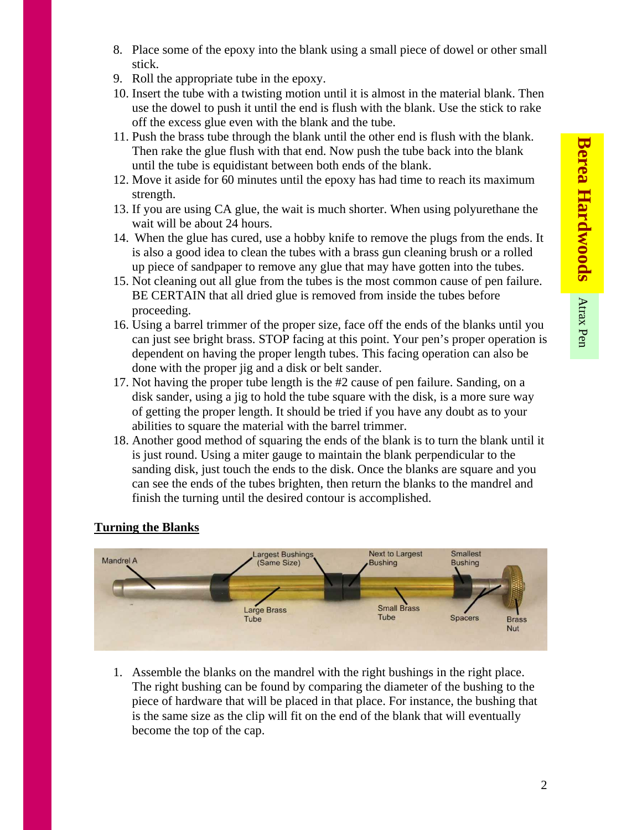- 8. Place some of the epoxy into the blank using a small piece of dowel or other small stick.
- 9. Roll the appropriate tube in the epoxy.
- 10. Insert the tube with a twisting motion until it is almost in the material blank. Then use the dowel to push it until the end is flush with the blank. Use the stick to rake off the excess glue even with the blank and the tube.
- 11. Push the brass tube through the blank until the other end is flush with the blank. Then rake the glue flush with that end. Now push the tube back into the blank until the tube is equidistant between both ends of the blank.
- 12. Move it aside for 60 minutes until the epoxy has had time to reach its maximum strength.
- 13. If you are using CA glue, the wait is much shorter. When using polyurethane the wait will be about 24 hours.
- 14. When the glue has cured, use a hobby knife to remove the plugs from the ends. It is also a good idea to clean the tubes with a brass gun cleaning brush or a rolled up piece of sandpaper to remove any glue that may have gotten into the tubes.
- 15. Not cleaning out all glue from the tubes is the most common cause of pen failure. BE CERTAIN that all dried glue is removed from inside the tubes before proceeding.
- 16. Using a barrel trimmer of the proper size, face off the ends of the blanks until you can just see bright brass. STOP facing at this point. Your pen's proper operation is dependent on having the proper length tubes. This facing operation can also be done with the proper jig and a disk or belt sander.
- 17. Not having the proper tube length is the #2 cause of pen failure. Sanding, on a disk sander, using a jig to hold the tube square with the disk, is a more sure way of getting the proper length. It should be tried if you have any doubt as to your abilities to square the material with the barrel trimmer.
- 18. Another good method of squaring the ends of the blank is to turn the blank until it is just round. Using a miter gauge to maintain the blank perpendicular to the sanding disk, just touch the ends to the disk. Once the blanks are square and you can see the ends of the tubes brighten, then return the blanks to the mandrel and finish the turning until the desired contour is accomplished.

## **Turning the Blanks**



1. Assemble the blanks on the mandrel with the right bushings in the right place. The right bushing can be found by comparing the diameter of the bushing to the piece of hardware that will be placed in that place. For instance, the bushing that is the same size as the clip will fit on the end of the blank that will eventually become the top of the cap.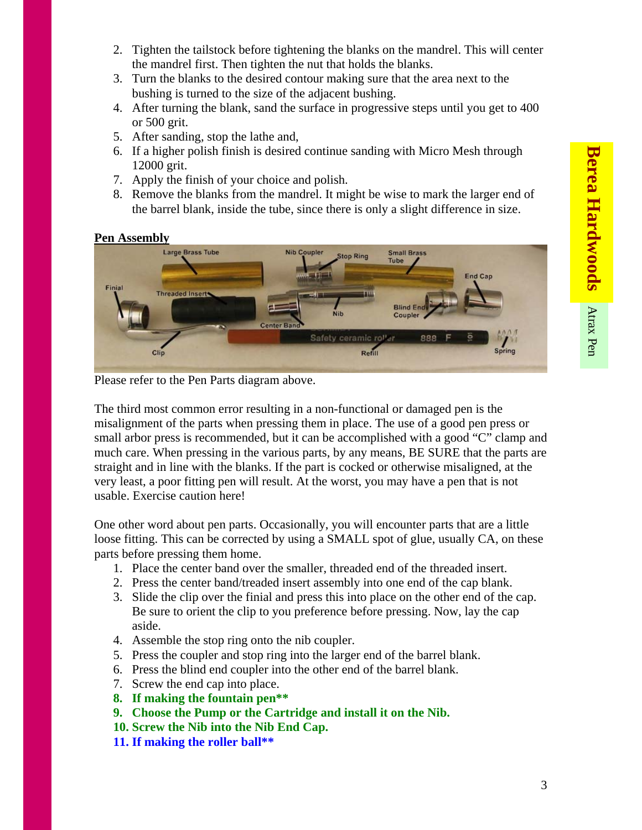- 2. Tighten the tailstock before tightening the blanks on the mandrel. This will center the mandrel first. Then tighten the nut that holds the blanks.
- 3. Turn the blanks to the desired contour making sure that the area next to the bushing is turned to the size of the adjacent bushing.
- 4. After turning the blank, sand the surface in progressive steps until you get to 400 or 500 grit.
- 5. After sanding, stop the lathe and,
- 6. If a higher polish finish is desired continue sanding with Micro Mesh through 12000 grit.
- 7. Apply the finish of your choice and polish.
- 8. Remove the blanks from the mandrel. It might be wise to mark the larger end of the barrel blank, inside the tube, since there is only a slight difference in size.

## **Pen Assembly**



Please refer to the Pen Parts diagram above.

The third most common error resulting in a non-functional or damaged pen is the misalignment of the parts when pressing them in place. The use of a good pen press or small arbor press is recommended, but it can be accomplished with a good "C" clamp and much care. When pressing in the various parts, by any means, BE SURE that the parts are straight and in line with the blanks. If the part is cocked or otherwise misaligned, at the very least, a poor fitting pen will result. At the worst, you may have a pen that is not usable. Exercise caution here!

One other word about pen parts. Occasionally, you will encounter parts that are a little loose fitting. This can be corrected by using a SMALL spot of glue, usually CA, on these parts before pressing them home.

- 1. Place the center band over the smaller, threaded end of the threaded insert.
- 2. Press the center band/treaded insert assembly into one end of the cap blank.
- 3. Slide the clip over the finial and press this into place on the other end of the cap. Be sure to orient the clip to you preference before pressing. Now, lay the cap aside.
- 4. Assemble the stop ring onto the nib coupler.
- 5. Press the coupler and stop ring into the larger end of the barrel blank.
- 6. Press the blind end coupler into the other end of the barrel blank.
- 7. Screw the end cap into place.
- **8. If making the fountain pen\*\***
- **9. Choose the Pump or the Cartridge and install it on the Nib.**
- **10. Screw the Nib into the Nib End Cap.**
- **11. If making the roller ball\*\***